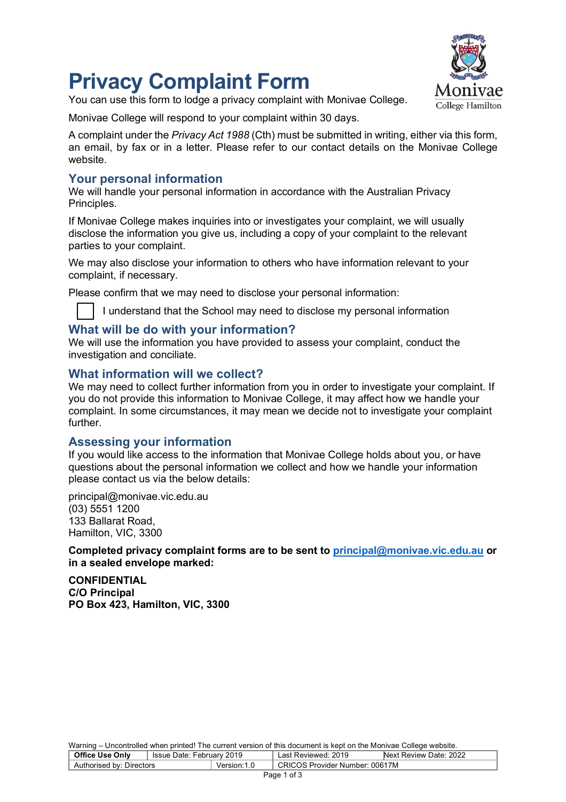# **Privacy Complaint Form**





Monivae College will respond to your complaint within 30 days.

A complaint under the *Privacy Act 1988* (Cth) must be submitted in writing, either via this form, an email, by fax or in a letter. Please refer to our contact details on the Monivae College website.

# **Your personal information**

We will handle your personal information in accordance with the Australian Privacy Principles.

If Monivae College makes inquiries into or investigates your complaint, we will usually disclose the information you give us, including a copy of your complaint to the relevant parties to your complaint.

We may also disclose your information to others who have information relevant to your complaint, if necessary.

Please confirm that we may need to disclose your personal information:

I understand that the School may need to disclose my personal information

# **What will be do with your information?**

We will use the information you have provided to assess your complaint, conduct the investigation and conciliate.

# **What information will we collect?**

We may need to collect further information from you in order to investigate your complaint. If you do not provide this information to Monivae College, it may affect how we handle your complaint. In some circumstances, it may mean we decide not to investigate your complaint further.

# **Assessing your information**

If you would like access to the information that Monivae College holds about you, or have questions about the personal information we collect and how we handle your information please contact us via the below details:

principal@monivae.vic.edu.au (03) 5551 1200 133 Ballarat Road, Hamilton, VIC, 3300

**Completed privacy complaint forms are to be sent to principal@monivae.vic.edu.au or in a sealed envelope marked:** 

**CONFIDENTIAL C/O Principal PO Box 423, Hamilton, VIC, 3300**

Warning – Uncontrolled when printed! The current version of this document is kept on the Monivae College website.

| <u>training</u> choosing show mish princent rile sentent referent or and assemblitie hopt on also members overage measurer |  |                     |                                |  |  |
|----------------------------------------------------------------------------------------------------------------------------|--|---------------------|--------------------------------|--|--|
| <b>Office Use Only</b><br>I Issue Date: February 2019                                                                      |  | Last Reviewed: 2019 | Next Review Date: 2022         |  |  |
| Authorised by: Directors                                                                                                   |  | Version: 1.0        | CRICOS Provider Number: 00617M |  |  |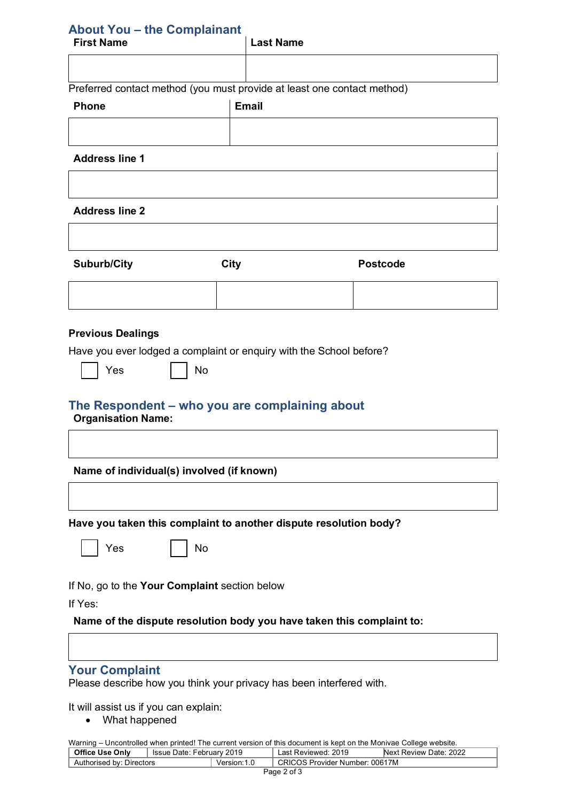# **About You – the Complainant**

| <b>First Name</b> | <b>Last Name</b>                                                        |
|-------------------|-------------------------------------------------------------------------|
|                   |                                                                         |
|                   | Preferred contact method (you must provide at least one contact method) |
| <b>Phone</b>      | <b>Email</b>                                                            |
|                   |                                                                         |

### **Address line 1**

### **Address line 2**

| <b>Suburb/City</b> | <b>City</b> | <b>Postcode</b> |
|--------------------|-------------|-----------------|
|                    |             |                 |

### **Previous Dealings**

Have you ever lodged a complaint or enquiry with the School before?

Yes I No

# **The Respondent – who you are complaining about**

**Organisation Name:**

**Name of individual(s) involved (if known)**

**Have you taken this complaint to another dispute resolution body?**

 $Yes \t | \t | No$ 

If No, go to the **Your Complaint** section below

If Yes:

**Name of the dispute resolution body you have taken this complaint to:**

### **Your Complaint**

Please describe how you think your privacy has been interfered with.

It will assist us if you can explain:

• What happened

Warning – Uncontrolled when printed! The current version of this document is kept on the Monivae College website.

| <b>Office Use Only</b>   | 2019<br>lssue Date: February, |              | 2019<br>Reviewed:<br>_ast             | Next Review Date: 2022 |
|--------------------------|-------------------------------|--------------|---------------------------------------|------------------------|
| Authorised by: Directors |                               | Version: 1.0 | <b>CRICOS Provider Number: 00617M</b> |                        |